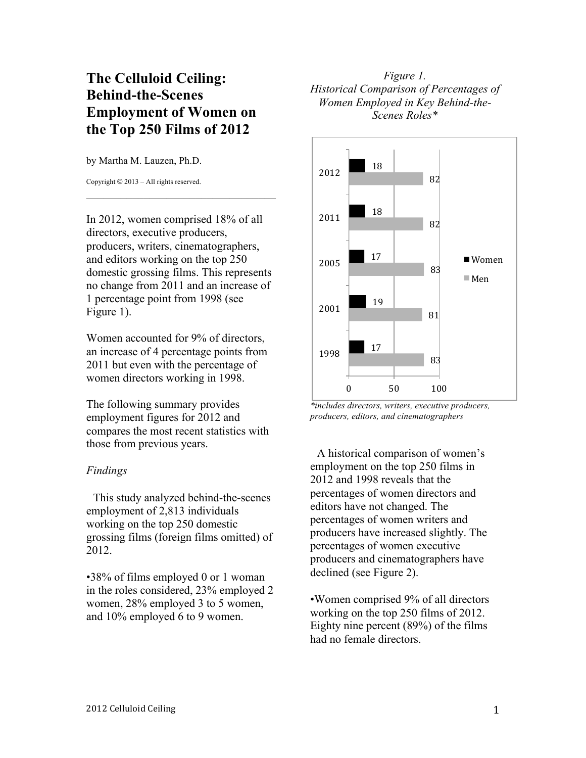## **The Celluloid Ceiling: Behind-the-Scenes Employment of Women on the Top 250 Films of 2012**

by Martha M. Lauzen, Ph.D.

Copyright © 2013 – All rights reserved.

In 2012, women comprised 18% of all directors, executive producers, producers, writers, cinematographers, and editors working on the top 250 domestic grossing films. This represents no change from 2011 and an increase of 1 percentage point from 1998 (see Figure 1).

\_\_\_\_\_\_\_\_\_\_\_\_\_\_\_\_\_\_\_\_\_\_\_\_\_\_\_\_\_\_\_\_\_

Women accounted for 9% of directors, an increase of 4 percentage points from 2011 but even with the percentage of women directors working in 1998.

The following summary provides employment figures for 2012 and compares the most recent statistics with those from previous years.

## *Findings*

This study analyzed behind-the-scenes employment of 2,813 individuals working on the top 250 domestic grossing films (foreign films omitted) of 2012.

•38% of films employed 0 or 1 woman in the roles considered, 23% employed 2 women, 28% employed 3 to 5 women, and 10% employed 6 to 9 women.

## *Figure 1. Historical Comparison of Percentages of Women Employed in Key Behind-the-Scenes Roles\**



*\*includes directors, writers, executive producers, producers, editors, and cinematographers*

A historical comparison of women's employment on the top 250 films in 2012 and 1998 reveals that the percentages of women directors and editors have not changed. The percentages of women writers and producers have increased slightly. The percentages of women executive producers and cinematographers have declined (see Figure 2).

•Women comprised 9% of all directors working on the top 250 films of 2012. Eighty nine percent (89%) of the films had no female directors.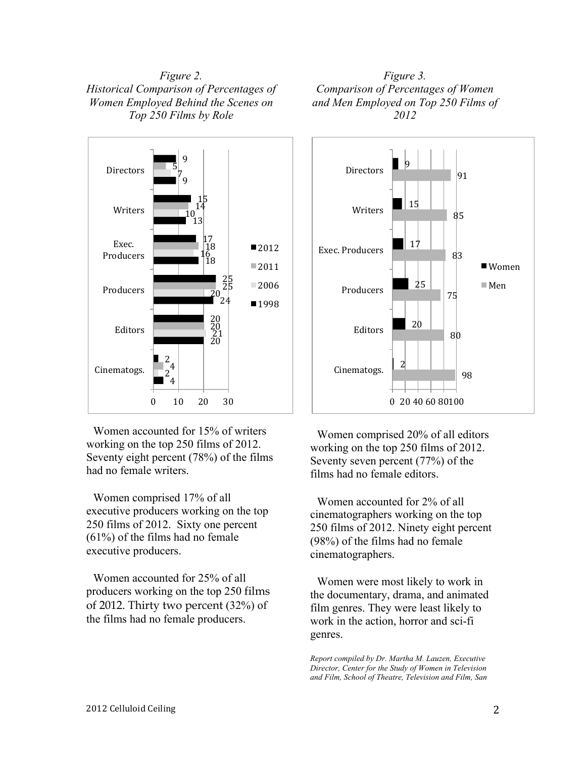*Figure 2. Historical Comparison of Percentages of Women Employed Behind the Scenes on Top 250 Films by Role*



Women accounted for 15% of writers working on the top 250 films of 2012. Seventy eight percent (78%) of the films had no female writers.

Women comprised 17% of all executive producers working on the top 250 films of 2012. Sixty one percent (61%) of the films had no female executive producers.

Women accounted for 25% of all producers working on the top 250 films of 2012. Thirty two percent (32%) of the films had no female producers.





Women comprised 20% of all editors working on the top 250 films of 2012. Seventy seven percent (77%) of the films had no female editors.

Women accounted for 2% of all cinematographers working on the top 250 films of 2012. Ninety eight percent (98%) of the films had no female cinematographers.

Women were most likely to work in the documentary, drama, and animated film genres. They were least likely to work in the action, horror and sci-fi genres.

*Report compiled by Dr. Martha M. Lauzen, Executive Director, Center for the Study of Women in Television and Film, School of Theatre, Television and Film, San*